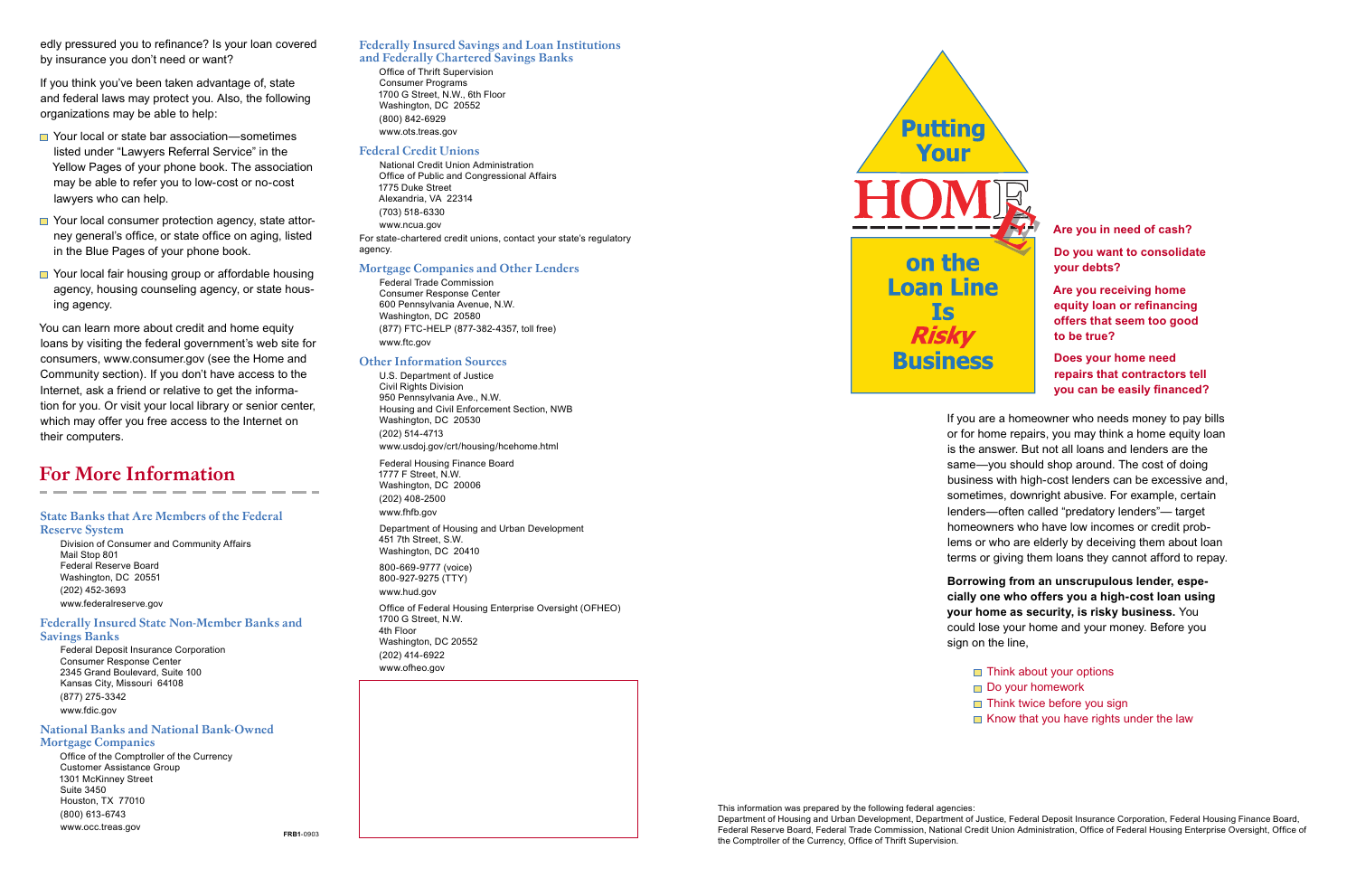#### Federally Insured Savings and Loan Institutions and Federally Chartered Savings Banks

Office of Thrift Supervision Consumer Programs 1700 G Street, N.W., 6th Floor Washington, DC 20552 (800) 842-6929 www.ots.treas.gov

#### Federal Credit Unions

National Credit Union Administration Office of Public and Congressional Affairs 1775 Duke StreetAlexandria, VA 22314 (703) 518-6330 www.ncua.gov For state-chartered credit unions, contact your state's regulatory agency.

#### Mortgage Companies and Other Lenders

Federal Trade Commission Consumer Response Center 600 Pennsylvania Avenue, N.W. Washington, DC 20580 (877) FTC-HELP (877-382-4357, toll free) www.ftc.gov

Office of Federal Housing Enterprise Oversight (OFHEO) 1700 G Street, N.W. 4th Floor Washington, DC 20552 (202) 414-6922 www.ofheo.gov



#### Other Information Sources

edly pressured you to refinance? Is your loan covered by insurance you don't need or want?

> U.S. Department of Justice Civil Rights Division 950 Pennsylvania Ave., N.W. Housing and Civil Enforcement Section, NWB Washington, DC 20530 (202) 514-4713 www.usdoj.gov/crt/housing/hcehome.html

Federal Housing Finance Board 1777 F Street, N.W. Washington, DC 20006 (202) 408-2500

www.fhfb.gov

- Your local or state bar association—sometimes listed under "Lawyers Referral Service" in the Yellow Pages of your phone book. The association may be able to refer you to low-cost or no-cost lawyers who can help.
- Your local consumer protection agency, state attorney general's office, or state office on aging, listed in the Blue Pages of your phone book.
- Your local fair housing group or affordable housing agency, housing counseling agency, or state housing agency.

Department of Housing and Urban Development 451 7th Street, S.W. Washington, DC 20410

800-669-9777 (voice) 800-927-9275 (TTY) www.hud.gov

If you think you've been taken advantage of, state and federal laws may protect you. Also, the following organizations may be able to help:

> **Does your home need repairs that contractors tell you can be easily financed?**

**Borrowing from an unscrupulous lender, especially one who offers you a high-cost loan using your home as security, is risky business.** You could lose your home and your money. Before you sign on the line.

This information was prepared by the following federal agencies: the Comptroller of the Currency, Office of Thrift Supervision.

You can learn more about credit and home equity loans by visiting the federal government's web site for consumers, www.consumer.gov (see the Home and Community section). If you don't have access to the Internet, ask a friend or relative to get the information for you. Or visit your local library or senior center, which may offer you free access to the Internet on their computers.

# For More Information

#### State Banks that Are Members of the Federal Reserve System

Division of Consumer and Community Affairs Mail Stop 801 Federal Reserve BoardWashington, DC 20551 (202) 452-3693 www.federalreserve.gov

Federally Insured State Non-Member Banks and Savings Banks

Federal Deposit Insurance Corporation Consumer Response Center 2345 Grand Boulevard, Suite 100 Kansas City, Missouri 64108 (877) 275-3342 www.fdic.gov

#### National Banks and National Bank-Owned Mortgage Companies

Office of the Comptroller of the Currency Customer Assistance Group 1301 McKinney Street Suite 3450Houston, TX 77010 (800) 613-6743 www.occ.treas.gov **Are you in need of cash? Do you want to consolidate your debts?** 

**Are you receiving home equity loan or refinancing offers that seem too good to be true?** 

If you are a homeowner who needs money to pay bills or for home repairs, you may think a home equity loan is the answer. But not all loans and lenders are the same—you should shop around. The cost of doing business with high-cost lenders can be excessive and, sometimes, downright abusive. For example, certain lenders—often called "predatory lenders"— target homeowners who have low incomes or credit problems or who are elderly by deceiving them about loan terms or giving them loans they cannot afford to repay.

 $\Box$  Think about your options Do your homework  $\Box$  Think twice before you sign  $\Box$  Know that you have rights under the law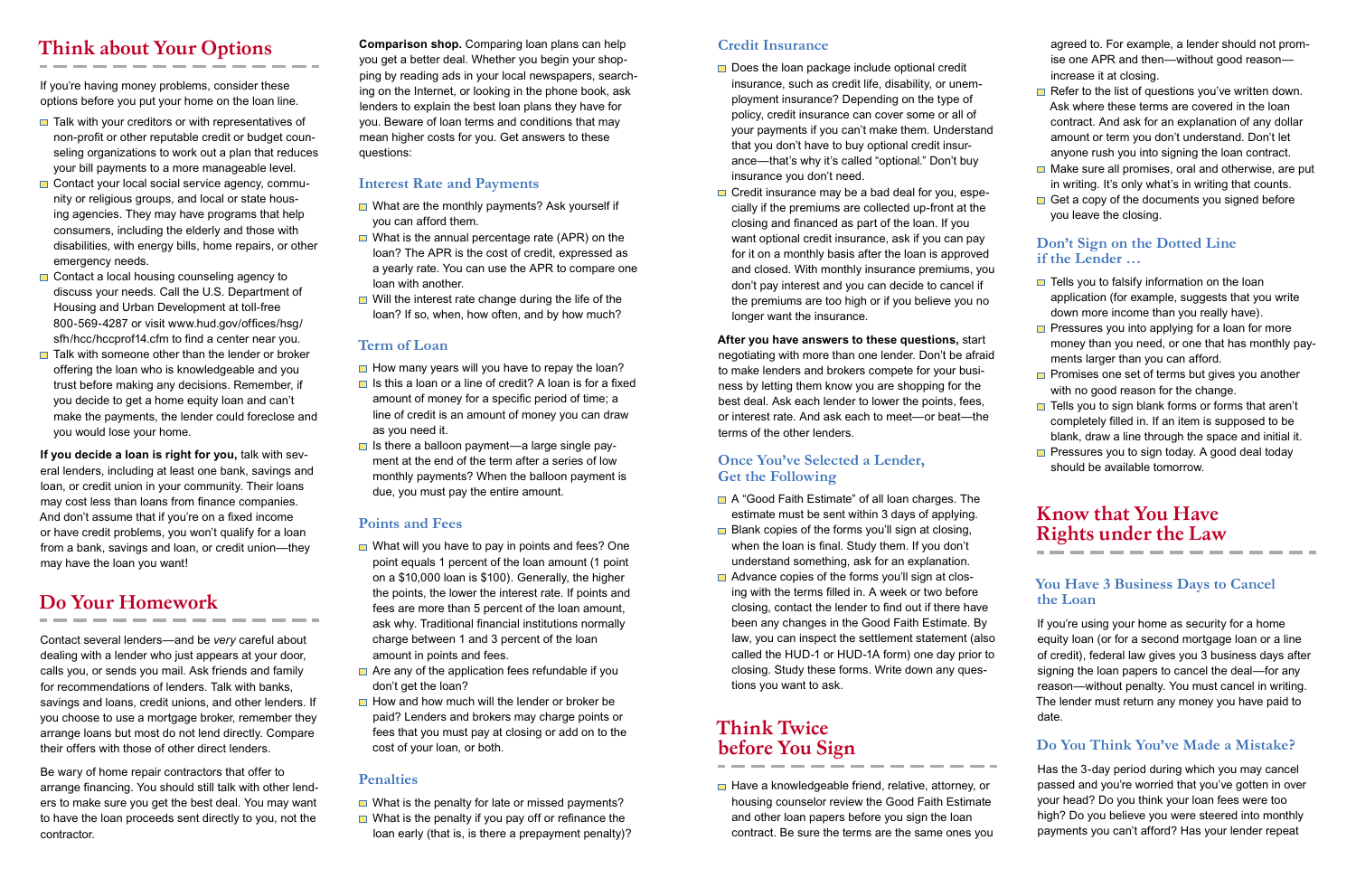# Think about Your Options

If you're having money problems, consider these options before you put your home on the loan line.

- $\blacksquare$  Talk with your creditors or with representatives of non-profit or other reputable credit or budget counseling organizations to work out a plan that reduces your bill payments to a more manageable level.
- Contact your local social service agency, community or religious groups, and local or state housing agencies. They may have programs that help consumers, including the elderly and those with disabilities, with energy bills, home repairs, or other emergency needs.
- $\Box$  Contact a local housing counseling agency to discuss your needs. Call the U.S. Department of Housing and Urban Development at toll-free 800-569-4287 or visit www.hud.gov/offices/hsg/ sfh/hcc/hccprof14.cfm to find a center near you.
- Talk with someone other than the lender or broker offering the loan who is knowledgeable and you trust before making any decisions. Remember, if you decide to get a home equity loan and can't make the payments, the lender could foreclose and you would lose your home.

**If you decide a loan is right for you,** talk with several lenders, including at least one bank, savings and loan, or credit union in your community. Their loans may cost less than loans from finance companies. And don't assume that if you're on a fixed income or have credit problems, you won't qualify for a loan from a bank, savings and loan, or credit union—they may have the loan you want!

- What are the monthly payments? Ask yourself if you can afford them.
- What is the annual percentage rate (APR) on the loan? The APR is the cost of credit, expressed as a yearly rate. You can use the APR to compare one loan with another.
- $\blacksquare$  Will the interest rate change during the life of the loan? If so, when, how often, and by how much?

# Do Your Homework

- $\Box$  How many years will you have to repay the loan?
- Is this a loan or a line of credit? A loan is for a fixed amount of money for a specific period of time; a line of credit is an amount of money you can draw as you need it.
- $\Box$  Is there a balloon payment—a large single payment at the end of the term after a series of low monthly payments? When the balloon payment is due, you must pay the entire amount.

Contact several lenders—and be *very* careful about dealing with a lender who just appears at your door, calls you, or sends you mail. Ask friends and family for recommendations of lenders. Talk with banks, savings and loans, credit unions, and other lenders. If you choose to use a mortgage broker, remember they arrange loans but most do not lend directly. Compare their offers with those of other direct lenders.

- $\Box$  What will you have to pay in points and fees? One point equals 1 percent of the loan amount (1 point on a \$10,000 loan is \$100). Generally, the higher the points, the lower the interest rate. If points and fees are more than 5 percent of the loan amount, ask why. Traditional financial institutions normally charge between 1 and 3 percent of the loan amount in points and fees.
- Are any of the application fees refundable if you don't get the loan?
- How and how much will the lender or broker be paid? Lenders and brokers may charge points or fees that you must pay at closing or add on to the cost of your loan, or both.

Be wary of home repair contractors that offer to arrange financing. You should still talk with other lenders to make sure you get the best deal. You may want to have the loan proceeds sent directly to you, not the contractor.

- $\Box$  What is the penalty for late or missed payments?
- $\blacksquare$  What is the penalty if you pay off or refinance the loan early (that is, is there a prepayment penalty)?

**Comparison shop.** Comparing loan plans can help you get a better deal. Whether you begin your shopping by reading ads in your local newspapers, searching on the Internet, or looking in the phone book, ask lenders to explain the best loan plans they have for you. Beware of loan terms and conditions that may mean higher costs for you. Get answers to these questions:

- $\Box$  Does the loan package include optional credit insurance, such as credit life, disability, or unemployment insurance? Depending on the type of policy, credit insurance can cover some or all of your payments if you can't make them. Understand that you don't have to buy optional credit insurance—that's why it's called "optional." Don't buy insurance you don't need.
- $\Box$  Credit insurance may be a bad deal for you, especially if the premiums are collected up-front at the closing and financed as part of the loan. If you want optional credit insurance, ask if you can pay for it on a monthly basis after the loan is approved and closed. With monthly insurance premiums, you don't pay interest and you can decide to cancel if the premiums are too high or if you believe you no longer want the insurance.

### **Interest Rate and Payments**

## **Term of Loan**

- A "Good Faith Estimate" of all loan charges. The estimate must be sent within 3 days of applying.
- $\Box$  Blank copies of the forms you'll sign at closing, when the loan is final. Study them. If you don't understand something, ask for an explanation.
- Advance copies of the forms you'll sign at closing with the terms filled in. A week or two before closing, contact the lender to find out if there have been any changes in the Good Faith Estimate. By law, you can inspect the settlement statement (also called the HUD-1 or HUD-1A form) one day prior to closing. Study these forms. Write down any questions you want to ask.

Have a knowledgeable friend, relative, attorney, or housing counselor review the Good Faith Estimate and other loan papers before you sign the loan contract. Be sure the terms are the same ones you

## **Points and Fees**

- $\blacksquare$  Refer to the list of questions you've written down. Ask where these terms are covered in the loan contract. And ask for an explanation of any dollar amount or term you don't understand. Don't let anyone rush you into signing the loan contract.
- $\Box$  Make sure all promises, oral and otherwise, are put in writing. It's only what's in writing that counts.
- $\Box$  Get a copy of the documents you signed before you leave the closing.

- $\Box$  Tells you to falsify information on the loan application (for example, suggests that you write down more income than you really have).
- $\blacksquare$  Pressures you into applying for a loan for more money than you need, or one that has monthly payments larger than you can afford.
- $\Box$  Promises one set of terms but gives you another with no good reason for the change.
- $\Box$  Tells you to sign blank forms or forms that aren't completely filled in. If an item is supposed to be blank, draw a line through the space and initial it.
- $\Box$  Pressures you to sign today. A good deal today should be available tomorrow.

## **Penalties**

## **Credit Insurance**

**After you have answers to these questions,** start negotiating with more than one lender. Don't be afraid to make lenders and brokers compete for your business by letting them know you are shopping for the best deal. Ask each lender to lower the points, fees, or interest rate. And ask each to meet—or beat—the terms of the other lenders.

## **Once You've Selected a Lender, Get the Following**

# Think Twice before You Sign

agreed to. For example, a lender should not promise one APR and then—without good reason increase it at closing.

#### **Don't Sign on the Dotted Line if the Lender …**

# Know that You Have Rights under the Law

#### **You Have 3 Business Days to Cancel the Loan**

If you're using your home as security for a home equity loan (or for a second mortgage loan or a line of credit), federal law gives you 3 business days after signing the loan papers to cancel the deal—for any reason —without penalty. You must cancel in writing. The lender must return any money you have paid to date.

## **Do You Think You've Made a Mistake?**

Has the 3-day period during which you may cancel passed and you're worried that you've gotten in over your head? Do you think your loan fees were too high? Do you believe you were steered into monthly payments you can't afford? Has your lender repeat